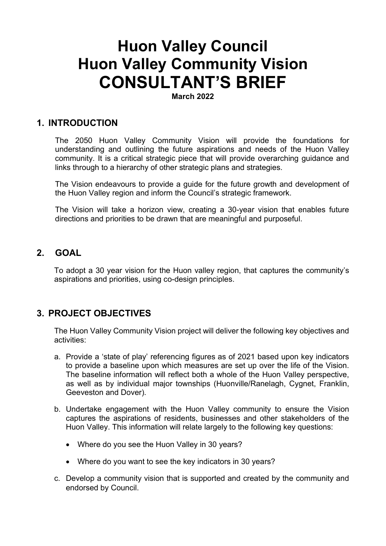# Huon Valley Council Huon Valley Community Vision CONSULTANT'S BRIEF

March 2022

# 1. INTRODUCTION

The 2050 Huon Valley Community Vision will provide the foundations for understanding and outlining the future aspirations and needs of the Huon Valley community. It is a critical strategic piece that will provide overarching guidance and links through to a hierarchy of other strategic plans and strategies.

The Vision endeavours to provide a guide for the future growth and development of the Huon Valley region and inform the Council's strategic framework.

The Vision will take a horizon view, creating a 30-year vision that enables future directions and priorities to be drawn that are meaningful and purposeful.

# 2. GOAL

To adopt a 30 year vision for the Huon valley region, that captures the community's aspirations and priorities, using co-design principles.

# 3. PROJECT OBJECTIVES

The Huon Valley Community Vision project will deliver the following key objectives and activities:

- a. Provide a 'state of play' referencing figures as of 2021 based upon key indicators to provide a baseline upon which measures are set up over the life of the Vision. The baseline information will reflect both a whole of the Huon Valley perspective, as well as by individual major townships (Huonville/Ranelagh, Cygnet, Franklin, Geeveston and Dover).
- b. Undertake engagement with the Huon Valley community to ensure the Vision captures the aspirations of residents, businesses and other stakeholders of the Huon Valley. This information will relate largely to the following key questions:
	- Where do you see the Huon Valley in 30 years?
	- Where do you want to see the key indicators in 30 years?
- c. Develop a community vision that is supported and created by the community and endorsed by Council.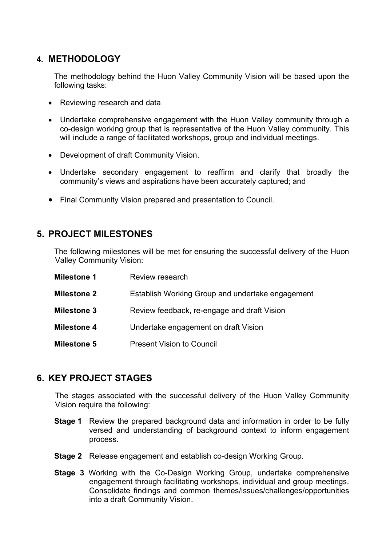# 4. METHODOLOGY

The methodology behind the Huon Valley Community Vision will be based upon the following tasks:

- Reviewing research and data
- Undertake comprehensive engagement with the Huon Valley community through a co-design working group that is representative of the Huon Valley community. This will include a range of facilitated workshops, group and individual meetings.
- Development of draft Community Vision.
- Undertake secondary engagement to reaffirm and clarify that broadly the community's views and aspirations have been accurately captured; and
- Final Community Vision prepared and presentation to Council.

# 5. PROJECT MILESTONES

The following milestones will be met for ensuring the successful delivery of the Huon Valley Community Vision:

| <b>Milestone 1</b> | Review research                                  |  |
|--------------------|--------------------------------------------------|--|
| <b>Milestone 2</b> | Establish Working Group and undertake engagement |  |
| <b>Milestone 3</b> | Review feedback, re-engage and draft Vision      |  |
| <b>Milestone 4</b> | Undertake engagement on draft Vision             |  |
| <b>Milestone 5</b> | <b>Present Vision to Council</b>                 |  |

# 6. KEY PROJECT STAGES

The stages associated with the successful delivery of the Huon Valley Community Vision require the following:

- **Stage 1** Review the prepared background data and information in order to be fully versed and understanding of background context to inform engagement process.
- Stage 2 Release engagement and establish co-design Working Group.
- Stage 3 Working with the Co-Design Working Group, undertake comprehensive engagement through facilitating workshops, individual and group meetings. Consolidate findings and common themes/issues/challenges/opportunities into a draft Community Vision.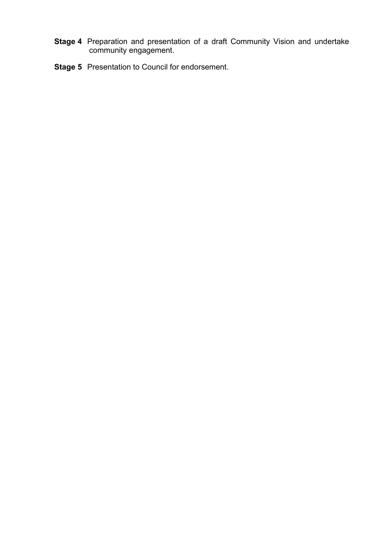- Stage 4 Preparation and presentation of a draft Community Vision and undertake community engagement.
- Stage 5 Presentation to Council for endorsement.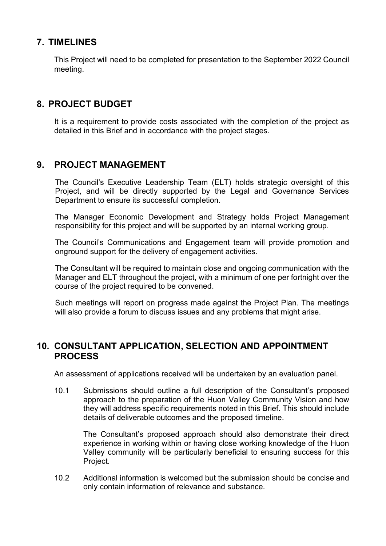# 7. TIMELINES

This Project will need to be completed for presentation to the September 2022 Council meeting.

# 8. PROJECT BUDGET

It is a requirement to provide costs associated with the completion of the project as detailed in this Brief and in accordance with the project stages.

## 9. PROJECT MANAGEMENT

The Council's Executive Leadership Team (ELT) holds strategic oversight of this Project, and will be directly supported by the Legal and Governance Services Department to ensure its successful completion.

The Manager Economic Development and Strategy holds Project Management responsibility for this project and will be supported by an internal working group.

The Council's Communications and Engagement team will provide promotion and onground support for the delivery of engagement activities.

The Consultant will be required to maintain close and ongoing communication with the Manager and ELT throughout the project, with a minimum of one per fortnight over the course of the project required to be convened.

Such meetings will report on progress made against the Project Plan. The meetings will also provide a forum to discuss issues and any problems that might arise.

## 10. CONSULTANT APPLICATION, SELECTION AND APPOINTMENT PROCESS

An assessment of applications received will be undertaken by an evaluation panel.

10.1 Submissions should outline a full description of the Consultant's proposed approach to the preparation of the Huon Valley Community Vision and how they will address specific requirements noted in this Brief. This should include details of deliverable outcomes and the proposed timeline.

The Consultant's proposed approach should also demonstrate their direct experience in working within or having close working knowledge of the Huon Valley community will be particularly beneficial to ensuring success for this Project.

10.2 Additional information is welcomed but the submission should be concise and only contain information of relevance and substance.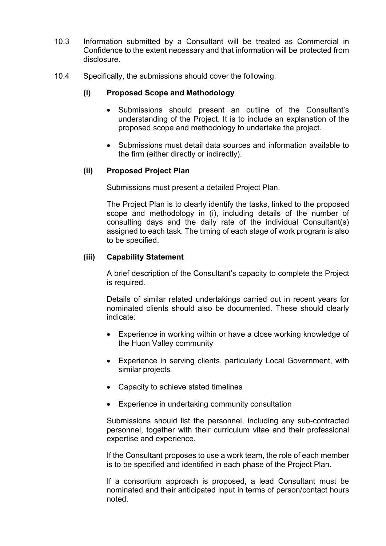- 10.3 Information submitted by a Consultant will be treated as Commercial in Confidence to the extent necessary and that information will be protected from disclosure.
- 10.4 Specifically, the submissions should cover the following:

#### (i) Proposed Scope and Methodology

- Submissions should present an outline of the Consultant's understanding of the Project. It is to include an explanation of the proposed scope and methodology to undertake the project.
- Submissions must detail data sources and information available to the firm (either directly or indirectly).

#### (ii) Proposed Project Plan

Submissions must present a detailed Project Plan.

The Project Plan is to clearly identify the tasks, linked to the proposed scope and methodology in (i), including details of the number of consulting days and the daily rate of the individual Consultant(s) assigned to each task. The timing of each stage of work program is also to be specified.

#### (iii) Capability Statement

A brief description of the Consultant's capacity to complete the Project is required.

Details of similar related undertakings carried out in recent years for nominated clients should also be documented. These should clearly indicate:

- Experience in working within or have a close working knowledge of the Huon Valley community
- Experience in serving clients, particularly Local Government, with similar projects
- Capacity to achieve stated timelines
- Experience in undertaking community consultation

Submissions should list the personnel, including any sub-contracted personnel, together with their curriculum vitae and their professional expertise and experience.

If the Consultant proposes to use a work team, the role of each member is to be specified and identified in each phase of the Project Plan.

If a consortium approach is proposed, a lead Consultant must be nominated and their anticipated input in terms of person/contact hours noted.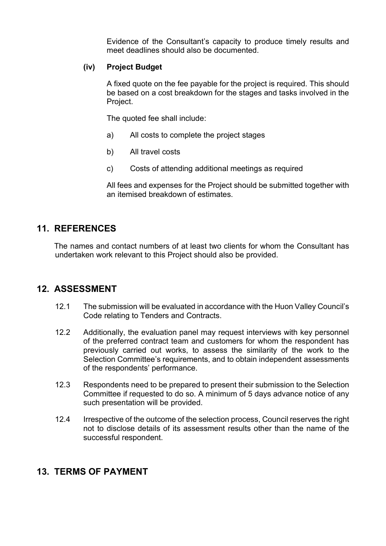Evidence of the Consultant's capacity to produce timely results and meet deadlines should also be documented.

#### (iv) Project Budget

A fixed quote on the fee payable for the project is required. This should be based on a cost breakdown for the stages and tasks involved in the Project.

The quoted fee shall include:

- a) All costs to complete the project stages
- b) All travel costs
- c) Costs of attending additional meetings as required

All fees and expenses for the Project should be submitted together with an itemised breakdown of estimates.

# 11. REFERENCES

The names and contact numbers of at least two clients for whom the Consultant has undertaken work relevant to this Project should also be provided.

## 12. ASSESSMENT

- 12.1 The submission will be evaluated in accordance with the Huon Valley Council's Code relating to Tenders and Contracts.
- 12.2 Additionally, the evaluation panel may request interviews with key personnel of the preferred contract team and customers for whom the respondent has previously carried out works, to assess the similarity of the work to the Selection Committee's requirements, and to obtain independent assessments of the respondents' performance.
- 12.3 Respondents need to be prepared to present their submission to the Selection Committee if requested to do so. A minimum of 5 days advance notice of any such presentation will be provided.
- 12.4 Irrespective of the outcome of the selection process, Council reserves the right not to disclose details of its assessment results other than the name of the successful respondent.

## 13. TERMS OF PAYMENT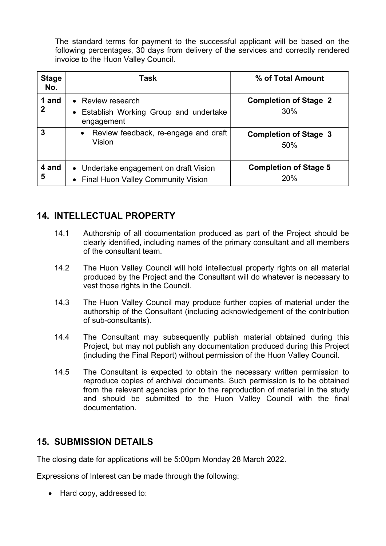The standard terms for payment to the successful applicant will be based on the following percentages, 30 days from delivery of the services and correctly rendered invoice to the Huon Valley Council.

| <b>Stage</b><br>No. | Task                                                                           | % of Total Amount                   |
|---------------------|--------------------------------------------------------------------------------|-------------------------------------|
| 1 and<br>2          | • Review research<br>Establish Working Group and undertake<br>engagement       | <b>Completion of Stage 2</b><br>30% |
| 3                   | Review feedback, re-engage and draft<br>$\bullet$<br>Vision                    | <b>Completion of Stage 3</b><br>50% |
| 4 and<br>5          | • Undertake engagement on draft Vision<br>• Final Huon Valley Community Vision | <b>Completion of Stage 5</b><br>20% |

# 14. INTELLECTUAL PROPERTY

- 14.1 Authorship of all documentation produced as part of the Project should be clearly identified, including names of the primary consultant and all members of the consultant team.
- 14.2 The Huon Valley Council will hold intellectual property rights on all material produced by the Project and the Consultant will do whatever is necessary to vest those rights in the Council.
- 14.3 The Huon Valley Council may produce further copies of material under the authorship of the Consultant (including acknowledgement of the contribution of sub-consultants).
- 14.4 The Consultant may subsequently publish material obtained during this Project, but may not publish any documentation produced during this Project (including the Final Report) without permission of the Huon Valley Council.
- 14.5 The Consultant is expected to obtain the necessary written permission to reproduce copies of archival documents. Such permission is to be obtained from the relevant agencies prior to the reproduction of material in the study and should be submitted to the Huon Valley Council with the final documentation.

# 15. SUBMISSION DETAILS

The closing date for applications will be 5:00pm Monday 28 March 2022.

Expressions of Interest can be made through the following:

• Hard copy, addressed to: